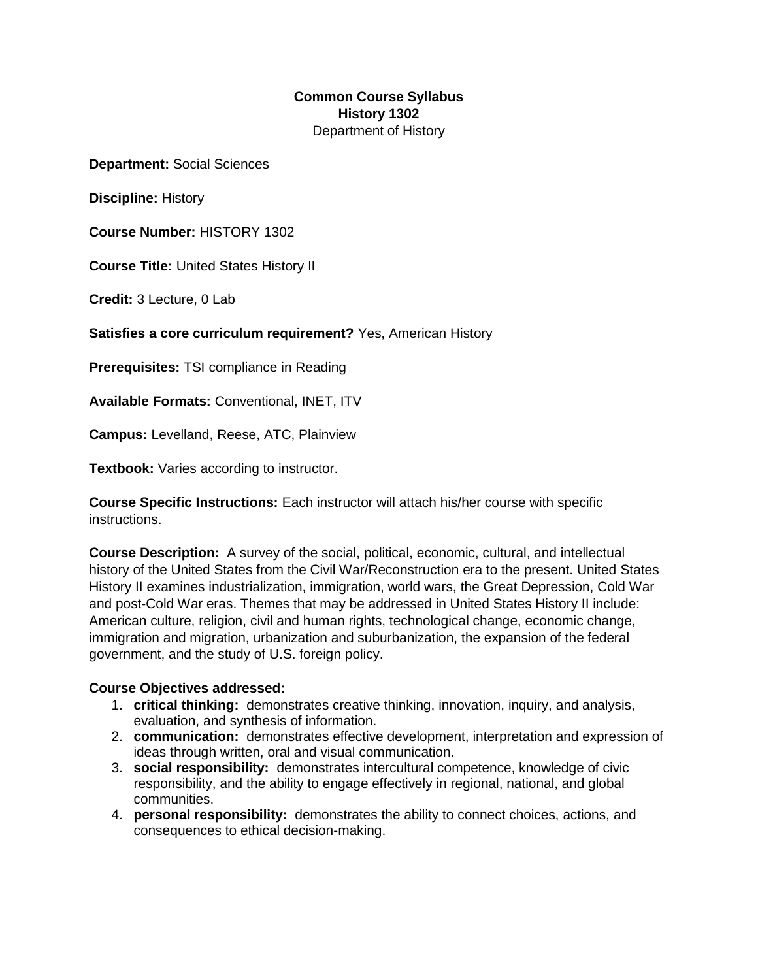#### **Common Course Syllabus History 1302** Department of History

**Department:** Social Sciences

**Discipline:** History

**Course Number:** HISTORY 1302

**Course Title:** United States History II

**Credit:** 3 Lecture, 0 Lab

**Satisfies a core curriculum requirement?** Yes, American History

**Prerequisites:** TSI compliance in Reading

**Available Formats:** Conventional, INET, ITV

**Campus:** Levelland, Reese, ATC, Plainview

**Textbook:** Varies according to instructor.

**Course Specific Instructions:** Each instructor will attach his/her course with specific instructions.

**Course Description:** A survey of the social, political, economic, cultural, and intellectual history of the United States from the Civil War/Reconstruction era to the present. United States History II examines industrialization, immigration, world wars, the Great Depression, Cold War and post-Cold War eras. Themes that may be addressed in United States History II include: American culture, religion, civil and human rights, technological change, economic change, immigration and migration, urbanization and suburbanization, the expansion of the federal government, and the study of U.S. foreign policy.

#### **Course Objectives addressed:**

- 1. **critical thinking:** demonstrates creative thinking, innovation, inquiry, and analysis, evaluation, and synthesis of information.
- 2. **communication:** demonstrates effective development, interpretation and expression of ideas through written, oral and visual communication.
- 3. **social responsibility:** demonstrates intercultural competence, knowledge of civic responsibility, and the ability to engage effectively in regional, national, and global communities.
- 4. **personal responsibility:** demonstrates the ability to connect choices, actions, and consequences to ethical decision-making.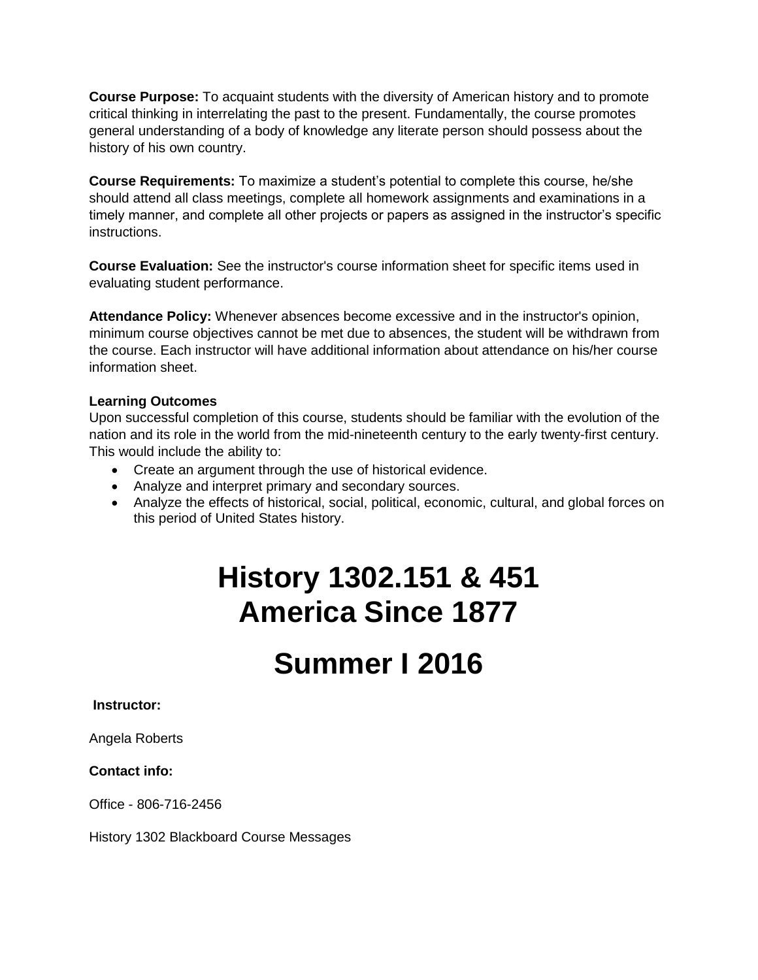**Course Purpose:** To acquaint students with the diversity of American history and to promote critical thinking in interrelating the past to the present. Fundamentally, the course promotes general understanding of a body of knowledge any literate person should possess about the history of his own country.

**Course Requirements:** To maximize a student's potential to complete this course, he/she should attend all class meetings, complete all homework assignments and examinations in a timely manner, and complete all other projects or papers as assigned in the instructor's specific instructions.

**Course Evaluation:** See the instructor's course information sheet for specific items used in evaluating student performance.

**Attendance Policy:** Whenever absences become excessive and in the instructor's opinion, minimum course objectives cannot be met due to absences, the student will be withdrawn from the course. Each instructor will have additional information about attendance on his/her course information sheet.

#### **Learning Outcomes**

Upon successful completion of this course, students should be familiar with the evolution of the nation and its role in the world from the mid-nineteenth century to the early twenty-first century. This would include the ability to:

- Create an argument through the use of historical evidence.
- Analyze and interpret primary and secondary sources.
- Analyze the effects of historical, social, political, economic, cultural, and global forces on this period of United States history.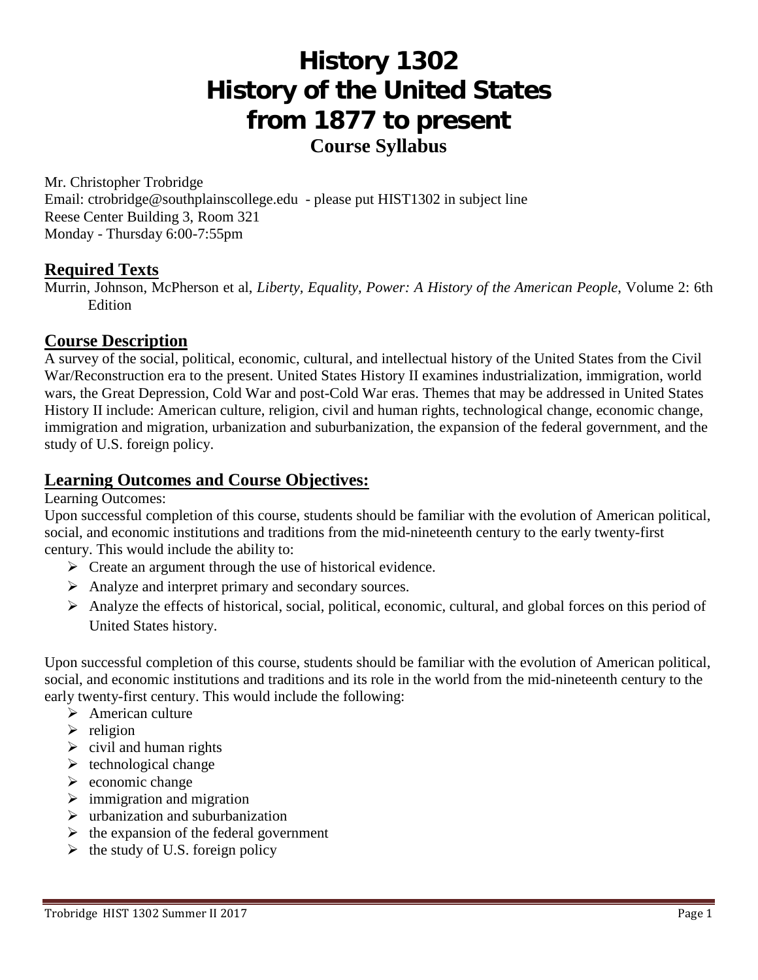# **History 1302 History of the United States from 1877 to present Course Syllabus**

Mr. Christopher Trobridge Email: ctrobridge@southplainscollege.edu - please put HIST1302 in subject line Reese Center Building 3, Room 321 Monday - Thursday 6:00-7:55pm

#### **Required Texts**

Murrin, Johnson, McPherson et al, *Liberty, Equality, Power: A History of the American People*, Volume 2: 6th Edition

### **Course Description**

A survey of the social, political, economic, cultural, and intellectual history of the United States from the Civil War/Reconstruction era to the present. United States History II examines industrialization, immigration, world wars, the Great Depression, Cold War and post-Cold War eras. Themes that may be addressed in United States History II include: American culture, religion, civil and human rights, technological change, economic change, immigration and migration, urbanization and suburbanization, the expansion of the federal government, and the study of U.S. foreign policy.

### **Learning Outcomes and Course Objectives:**

Learning Outcomes:

Upon successful completion of this course, students should be familiar with the evolution of American political, social, and economic institutions and traditions from the mid-nineteenth century to the early twenty-first century. This would include the ability to:

- $\triangleright$  Create an argument through the use of historical evidence.
- Analyze and interpret primary and secondary sources.
- Analyze the effects of historical, social, political, economic, cultural, and global forces on this period of United States history.

Upon successful completion of this course, students should be familiar with the evolution of American political, social, and economic institutions and traditions and its role in the world from the mid-nineteenth century to the early twenty-first century. This would include the following:

- $\triangleright$  American culture
- $\triangleright$  religion
- $\triangleright$  civil and human rights
- $\triangleright$  technological change
- $\triangleright$  economic change
- $\triangleright$  immigration and migration
- $\triangleright$  urbanization and suburbanization
- $\triangleright$  the expansion of the federal government
- $\triangleright$  the study of U.S. foreign policy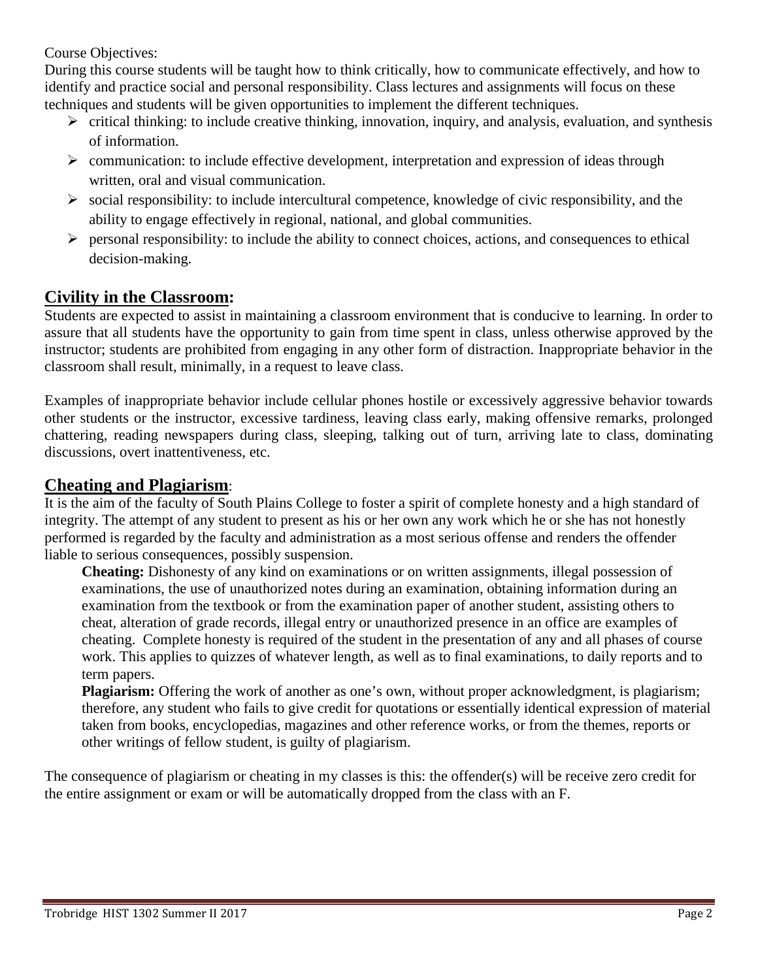Course Objectives:

During this course students will be taught how to think critically, how to communicate effectively, and how to identify and practice social and personal responsibility. Class lectures and assignments will focus on these techniques and students will be given opportunities to implement the different techniques.

- $\triangleright$  critical thinking: to include creative thinking, innovation, inquiry, and analysis, evaluation, and synthesis of information.
- $\triangleright$  communication: to include effective development, interpretation and expression of ideas through written, oral and visual communication.
- $\triangleright$  social responsibility: to include intercultural competence, knowledge of civic responsibility, and the ability to engage effectively in regional, national, and global communities.
- $\triangleright$  personal responsibility: to include the ability to connect choices, actions, and consequences to ethical decision-making.

## **Civility in the Classroom:**

Students are expected to assist in maintaining a classroom environment that is conducive to learning. In order to assure that all students have the opportunity to gain from time spent in class, unless otherwise approved by the instructor; students are prohibited from engaging in any other form of distraction. Inappropriate behavior in the classroom shall result, minimally, in a request to leave class.

Examples of inappropriate behavior include cellular phones hostile or excessively aggressive behavior towards other students or the instructor, excessive tardiness, leaving class early, making offensive remarks, prolonged chattering, reading newspapers during class, sleeping, talking out of turn, arriving late to class, dominating discussions, overt inattentiveness, etc.

## **Cheating and Plagiarism**:

It is the aim of the faculty of South Plains College to foster a spirit of complete honesty and a high standard of integrity. The attempt of any student to present as his or her own any work which he or she has not honestly performed is regarded by the faculty and administration as a most serious offense and renders the offender liable to serious consequences, possibly suspension.

**Cheating:** Dishonesty of any kind on examinations or on written assignments, illegal possession of examinations, the use of unauthorized notes during an examination, obtaining information during an examination from the textbook or from the examination paper of another student, assisting others to cheat, alteration of grade records, illegal entry or unauthorized presence in an office are examples of cheating. Complete honesty is required of the student in the presentation of any and all phases of course work. This applies to quizzes of whatever length, as well as to final examinations, to daily reports and to term papers.

**Plagiarism:** Offering the work of another as one's own, without proper acknowledgment, is plagiarism; therefore, any student who fails to give credit for quotations or essentially identical expression of material taken from books, encyclopedias, magazines and other reference works, or from the themes, reports or other writings of fellow student, is guilty of plagiarism.

The consequence of plagiarism or cheating in my classes is this: the offender(s) will be receive zero credit for the entire assignment or exam or will be automatically dropped from the class with an F.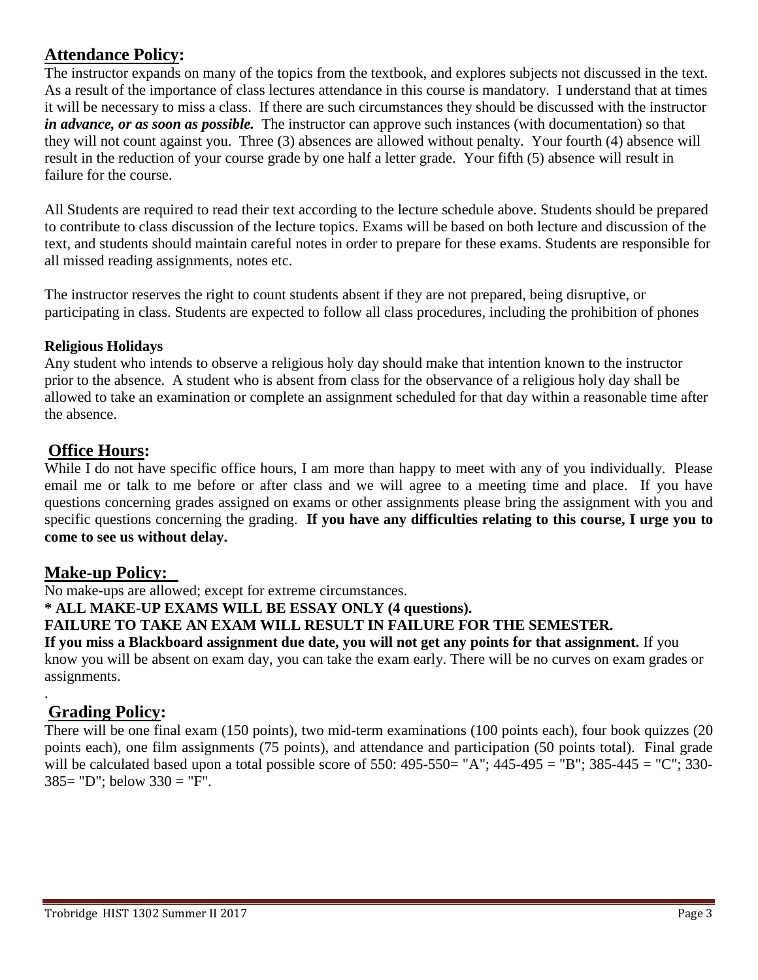## **Attendance Policy:**

The instructor expands on many of the topics from the textbook, and explores subjects not discussed in the text. As a result of the importance of class lectures attendance in this course is mandatory. I understand that at times it will be necessary to miss a class. If there are such circumstances they should be discussed with the instructor *in advance, or as soon as possible.* The instructor can approve such instances (with documentation) so that they will not count against you. Three (3) absences are allowed without penalty. Your fourth (4) absence will result in the reduction of your course grade by one half a letter grade. Your fifth (5) absence will result in failure for the course.

All Students are required to read their text according to the lecture schedule above. Students should be prepared to contribute to class discussion of the lecture topics. Exams will be based on both lecture and discussion of the text, and students should maintain careful notes in order to prepare for these exams. Students are responsible for all missed reading assignments, notes etc.

The instructor reserves the right to count students absent if they are not prepared, being disruptive, or participating in class. Students are expected to follow all class procedures, including the prohibition of phones

#### **Religious Holidays**

Any student who intends to observe a religious holy day should make that intention known to the instructor prior to the absence. A student who is absent from class for the observance of a religious holy day shall be allowed to take an examination or complete an assignment scheduled for that day within a reasonable time after the absence.

### **Office Hours:**

While I do not have specific office hours, I am more than happy to meet with any of you individually. Please email me or talk to me before or after class and we will agree to a meeting time and place. If you have questions concerning grades assigned on exams or other assignments please bring the assignment with you and specific questions concerning the grading. **If you have any difficulties relating to this course, I urge you to come to see us without delay.**

## **Make-up Policy:**

No make-ups are allowed; except for extreme circumstances.

**\* ALL MAKE-UP EXAMS WILL BE ESSAY ONLY (4 questions).** 

#### **FAILURE TO TAKE AN EXAM WILL RESULT IN FAILURE FOR THE SEMESTER.**

**If you miss a Blackboard assignment due date, you will not get any points for that assignment.** If you know you will be absent on exam day, you can take the exam early. There will be no curves on exam grades or assignments.

## **Grading Policy:**

.

There will be one final exam (150 points), two mid-term examinations (100 points each), four book quizzes (20 points each), one film assignments (75 points), and attendance and participation (50 points total). Final grade will be calculated based upon a total possible score of 550: 495-550= "A"; 445-495 = "B"; 385-445 = "C"; 330-385= "D"; below 330 = "F".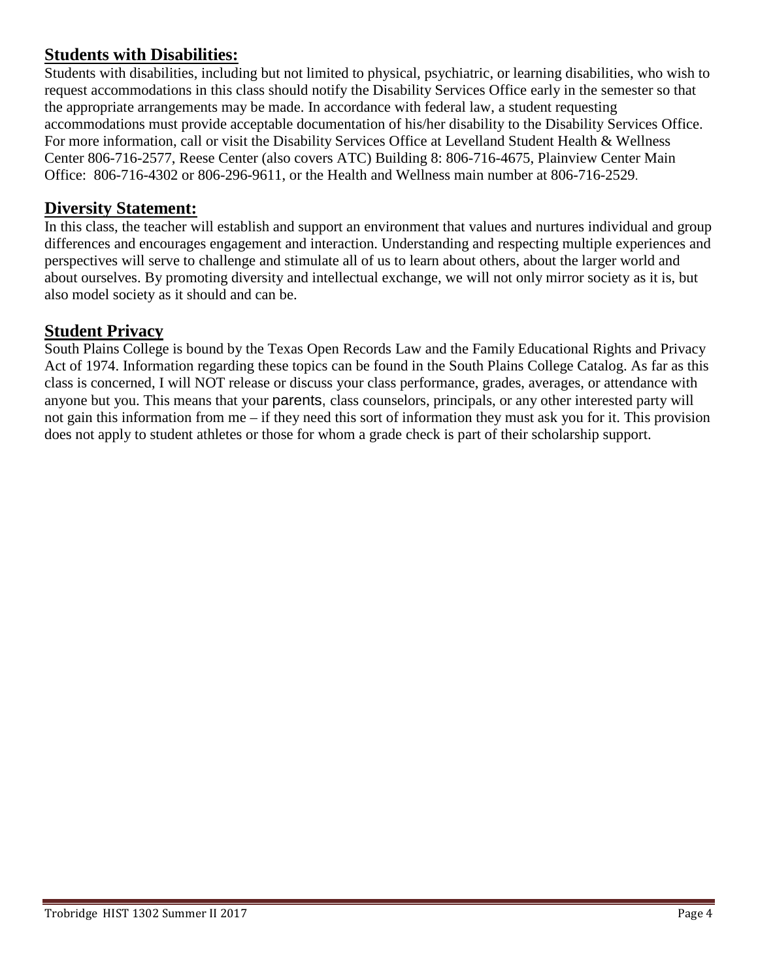## **Students with Disabilities:**

Students with disabilities, including but not limited to physical, psychiatric, or learning disabilities, who wish to request accommodations in this class should notify the Disability Services Office early in the semester so that the appropriate arrangements may be made. In accordance with federal law, a student requesting accommodations must provide acceptable documentation of his/her disability to the Disability Services Office. For more information, call or visit the Disability Services Office at Levelland Student Health & Wellness Center 806-716-2577, Reese Center (also covers ATC) Building 8: 806-716-4675, Plainview Center Main Office: 806-716-4302 or 806-296-9611, or the Health and Wellness main number at 806-716-2529.

## **Diversity Statement:**

In this class, the teacher will establish and support an environment that values and nurtures individual and group differences and encourages engagement and interaction. Understanding and respecting multiple experiences and perspectives will serve to challenge and stimulate all of us to learn about others, about the larger world and about ourselves. By promoting diversity and intellectual exchange, we will not only mirror society as it is, but also model society as it should and can be.

## **Student Privacy**

South Plains College is bound by the Texas Open Records Law and the Family Educational Rights and Privacy Act of 1974. Information regarding these topics can be found in the South Plains College Catalog. As far as this class is concerned, I will NOT release or discuss your class performance, grades, averages, or attendance with anyone but you. This means that your parents, class counselors, principals, or any other interested party will not gain this information from me – if they need this sort of information they must ask you for it. This provision does not apply to student athletes or those for whom a grade check is part of their scholarship support.